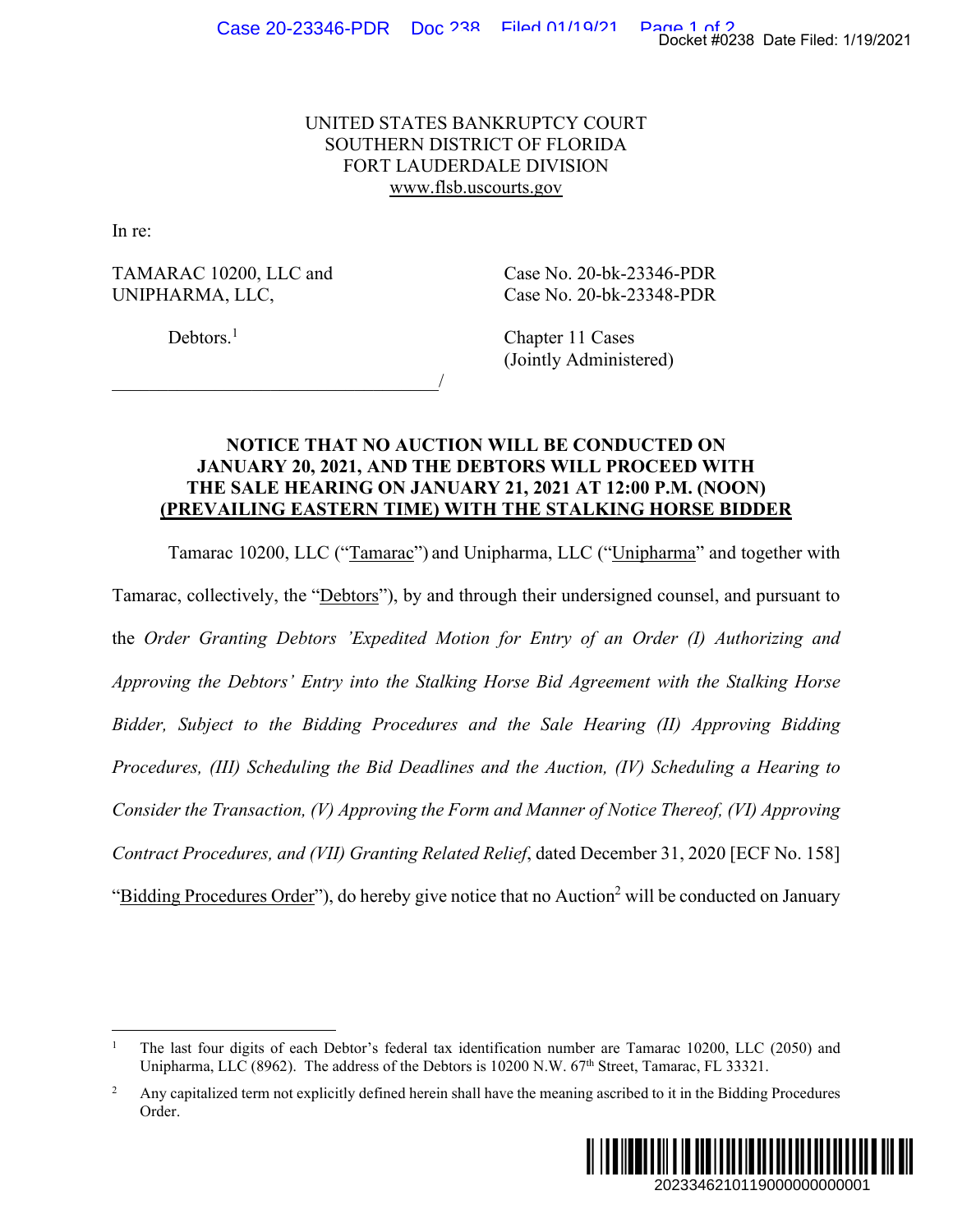## UNITED STATES BANKRUPTCY COURT SOUTHERN DISTRICT OF FLORIDA FORT LAUDERDALE DIVISION www.flsb.uscourts.gov

In re:

TAMARAC 10200, LLC and Case No. 20-bk-23346-PDR UNIPHARMA, LLC, Case No. 20-bk-23348-PDR

 $\overline{\phantom{a}}$ 

Debtors.<sup>1</sup>

 Chapter 11 Cases (Jointly Administered)

## **NOTICE THAT NO AUCTION WILL BE CONDUCTED ON JANUARY 20, 2021, AND THE DEBTORS WILL PROCEED WITH THE SALE HEARING ON JANUARY 21, 2021 AT 12:00 P.M. (NOON) (PREVAILING EASTERN TIME) WITH THE STALKING HORSE BIDDER**

Tamarac 10200, LLC ("Tamarac") and Unipharma, LLC ("Unipharma" and together with Tamarac, collectively, the "Debtors"), by and through their undersigned counsel, and pursuant to the *Order Granting Debtors 'Expedited Motion for Entry of an Order (I) Authorizing and Approving the Debtors' Entry into the Stalking Horse Bid Agreement with the Stalking Horse Bidder, Subject to the Bidding Procedures and the Sale Hearing (II) Approving Bidding Procedures, (III) Scheduling the Bid Deadlines and the Auction, (IV) Scheduling a Hearing to Consider the Transaction, (V) Approving the Form and Manner of Notice Thereof, (VI) Approving Contract Procedures, and (VII) Granting Related Relief*, dated December 31, 2020 [ECF No. 158] "Bidding Procedures Order"), do hereby give notice that no Auction<sup>2</sup> will be conducted on January Docket #0238 Date Filed: 1/19/2021<br>
46-PDR<br>
48-PDR<br>
2d)<br>
2d)<br> **TED ON**<br> **PM. (NOON)**<br> **IORSE BIDDER**<br> **EM. (NOON)**<br> **IORSE BIDDER**<br> **EMAL (NOON)**<br> **IORSE BIDDER**<br> *Authorizing and*<br> *with the Stalking Horse*<br>
(*II) Approvi* 

<sup>2</sup> Any capitalized term not explicitly defined herein shall have the meaning ascribed to it in the Bidding Procedures Order.



<sup>1</sup> The last four digits of each Debtor's federal tax identification number are Tamarac 10200, LLC (2050) and Unipharma, LLC (8962). The address of the Debtors is 10200 N.W.  $67<sup>th</sup>$  Street, Tamarac, FL 33321.